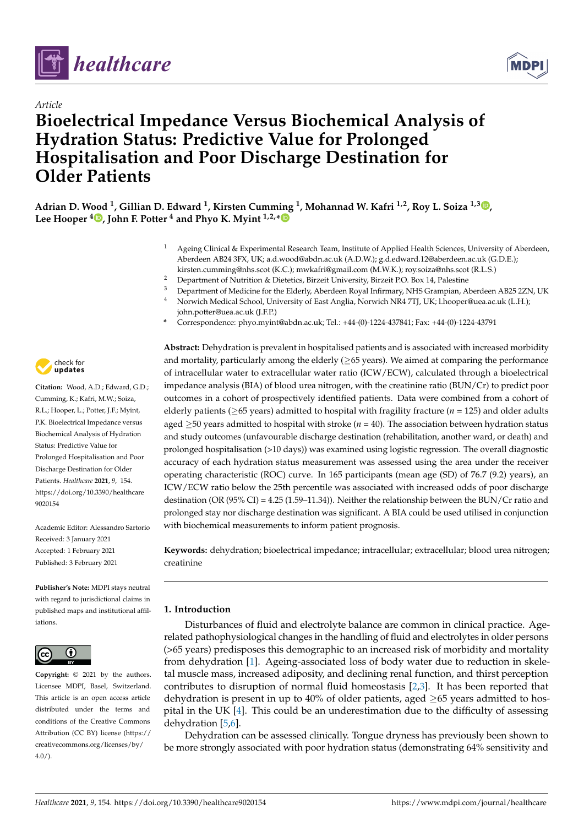



# *Article* **Bioelectrical Impedance Versus Biochemical Analysis of Hydration Status: Predictive Value for Prolonged Hospitalisation and Poor Discharge Destination for Older Patients**



- <sup>1</sup> Ageing Clinical & Experimental Research Team, Institute of Applied Health Sciences, University of Aberdeen, Aberdeen AB24 3FX, UK; a.d.wood@abdn.ac.uk (A.D.W.); g.d.edward.12@aberdeen.ac.uk (G.D.E.); kirsten.cumming@nhs.scot (K.C.); mwkafri@gmail.com (M.W.K.); roy.soiza@nhs.scot (R.L.S.)
- <sup>2</sup> Department of Nutrition & Dietetics, Birzeit University, Birzeit P.O. Box 14, Palestine
- <sup>3</sup> Department of Medicine for the Elderly, Aberdeen Royal Infirmary, NHS Grampian, Aberdeen AB25 2ZN, UK<br><sup>4</sup> Norwich Medical School University of East Anglia Norwich NR4 7TU UK: Unooper@uea ac uk (LH). <sup>4</sup> Norwich Medical School, University of East Anglia, Norwich NR4 7TJ, UK; l.hooper@uea.ac.uk (L.H.);
	- john.potter@uea.ac.uk (J.F.P.)
- **\*** Correspondence: phyo.myint@abdn.ac.uk; Tel.: +44-(0)-1224-437841; Fax: +44-(0)-1224-43791



**Citation:** Wood, A.D.; Edward, G.D.; Cumming, K.; Kafri, M.W.; Soiza, R.L.; Hooper, L.; Potter, J.F.; Myint, P.K. Bioelectrical Impedance versus Biochemical Analysis of Hydration Status: Predictive Value for Prolonged Hospitalisation and Poor Discharge Destination for Older Patients. *Healthcare* **2021**, *9*, 154. [https://doi.org/10.3390/healthcare](https://doi.org/10.3390/healthcare9020154) [9020154](https://doi.org/10.3390/healthcare9020154)

Academic Editor: Alessandro Sartorio Received: 3 January 2021 Accepted: 1 February 2021 Published: 3 February 2021

**Publisher's Note:** MDPI stays neutral with regard to jurisdictional claims in published maps and institutional affiliations.



**Copyright:** © 2021 by the authors. Licensee MDPI, Basel, Switzerland. This article is an open access article distributed under the terms and conditions of the Creative Commons Attribution (CC BY) license (https:/[/](https://creativecommons.org/licenses/by/4.0/) [creativecommons.org/licenses/by/](https://creativecommons.org/licenses/by/4.0/)  $4.0/$ ).

**Abstract:** Dehydration is prevalent in hospitalised patients and is associated with increased morbidity and mortality, particularly among the elderly ( $\geq$ 65 years). We aimed at comparing the performance of intracellular water to extracellular water ratio (ICW/ECW), calculated through a bioelectrical impedance analysis (BIA) of blood urea nitrogen, with the creatinine ratio (BUN/Cr) to predict poor outcomes in a cohort of prospectively identified patients. Data were combined from a cohort of elderly patients ( $\geq$ 65 years) admitted to hospital with fragility fracture ( $n = 125$ ) and older adults aged  $\geq$ 50 years admitted to hospital with stroke ( $n = 40$ ). The association between hydration status and study outcomes (unfavourable discharge destination (rehabilitation, another ward, or death) and prolonged hospitalisation (>10 days)) was examined using logistic regression. The overall diagnostic accuracy of each hydration status measurement was assessed using the area under the receiver operating characteristic (ROC) curve. In 165 participants (mean age (SD) of 76.7 (9.2) years), an ICW/ECW ratio below the 25th percentile was associated with increased odds of poor discharge destination (OR (95% CI) = 4.25 (1.59–11.34)). Neither the relationship between the BUN/Cr ratio and prolonged stay nor discharge destination was significant. A BIA could be used utilised in conjunction with biochemical measurements to inform patient prognosis.

**Keywords:** dehydration; bioelectrical impedance; intracellular; extracellular; blood urea nitrogen; creatinine

## **1. Introduction**

Disturbances of fluid and electrolyte balance are common in clinical practice. Agerelated pathophysiological changes in the handling of fluid and electrolytes in older persons (>65 years) predisposes this demographic to an increased risk of morbidity and mortality from dehydration [\[1\]](#page-5-0). Ageing-associated loss of body water due to reduction in skeletal muscle mass, increased adiposity, and declining renal function, and thirst perception contributes to disruption of normal fluid homeostasis [\[2](#page-5-1)[,3\]](#page-5-2). It has been reported that dehydration is present in up to 40% of older patients, aged  $\geq$ 65 years admitted to hospital in the UK [\[4\]](#page-5-3). This could be an underestimation due to the difficulty of assessing dehydration [\[5,](#page-5-4)[6\]](#page-5-5).

Dehydration can be assessed clinically. Tongue dryness has previously been shown to be more strongly associated with poor hydration status (demonstrating 64% sensitivity and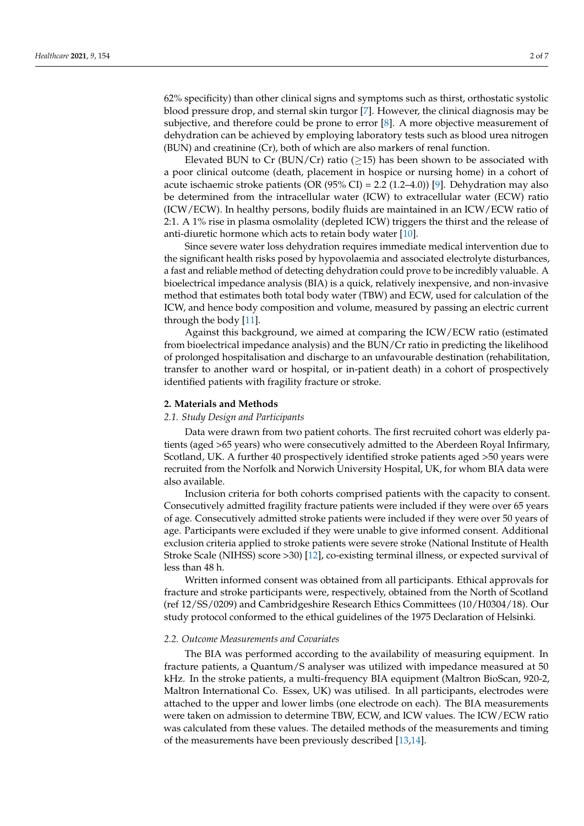62% specificity) than other clinical signs and symptoms such as thirst, orthostatic systolic blood pressure drop, and sternal skin turgor [\[7\]](#page-5-6). However, the clinical diagnosis may be subjective, and therefore could be prone to error [\[8\]](#page-5-7). A more objective measurement of dehydration can be achieved by employing laboratory tests such as blood urea nitrogen (BUN) and creatinine (Cr), both of which are also markers of renal function.

Elevated BUN to Cr (BUN/Cr) ratio ( $\geq$ 15) has been shown to be associated with a poor clinical outcome (death, placement in hospice or nursing home) in a cohort of acute ischaemic stroke patients (OR  $(95\%$  CI) = 2.2  $(1.2-4.0)$ ) [\[9\]](#page-5-8). Dehydration may also be determined from the intracellular water (ICW) to extracellular water (ECW) ratio (ICW/ECW). In healthy persons, bodily fluids are maintained in an ICW/ECW ratio of 2:1. A 1% rise in plasma osmolality (depleted ICW) triggers the thirst and the release of anti-diuretic hormone which acts to retain body water [\[10\]](#page-5-9).

Since severe water loss dehydration requires immediate medical intervention due to the significant health risks posed by hypovolaemia and associated electrolyte disturbances, a fast and reliable method of detecting dehydration could prove to be incredibly valuable. A bioelectrical impedance analysis (BIA) is a quick, relatively inexpensive, and non-invasive method that estimates both total body water (TBW) and ECW, used for calculation of the ICW, and hence body composition and volume, measured by passing an electric current through the body [\[11\]](#page-5-10).

Against this background, we aimed at comparing the ICW/ECW ratio (estimated from bioelectrical impedance analysis) and the BUN/Cr ratio in predicting the likelihood of prolonged hospitalisation and discharge to an unfavourable destination (rehabilitation, transfer to another ward or hospital, or in-patient death) in a cohort of prospectively identified patients with fragility fracture or stroke.

#### **2. Materials and Methods**

#### *2.1. Study Design and Participants*

Data were drawn from two patient cohorts. The first recruited cohort was elderly patients (aged >65 years) who were consecutively admitted to the Aberdeen Royal Infirmary, Scotland, UK. A further 40 prospectively identified stroke patients aged >50 years were recruited from the Norfolk and Norwich University Hospital, UK, for whom BIA data were also available.

Inclusion criteria for both cohorts comprised patients with the capacity to consent. Consecutively admitted fragility fracture patients were included if they were over 65 years of age. Consecutively admitted stroke patients were included if they were over 50 years of age. Participants were excluded if they were unable to give informed consent. Additional exclusion criteria applied to stroke patients were severe stroke (National Institute of Health Stroke Scale (NIHSS) score >30) [\[12\]](#page-6-0), co-existing terminal illness, or expected survival of less than 48 h.

Written informed consent was obtained from all participants. Ethical approvals for fracture and stroke participants were, respectively, obtained from the North of Scotland (ref 12/SS/0209) and Cambridgeshire Research Ethics Committees (10/H0304/18). Our study protocol conformed to the ethical guidelines of the 1975 Declaration of Helsinki.

#### *2.2. Outcome Measurements and Covariates*

The BIA was performed according to the availability of measuring equipment. In fracture patients, a Quantum/S analyser was utilized with impedance measured at 50 kHz. In the stroke patients, a multi-frequency BIA equipment (Maltron BioScan, 920-2, Maltron International Co. Essex, UK) was utilised. In all participants, electrodes were attached to the upper and lower limbs (one electrode on each). The BIA measurements were taken on admission to determine TBW, ECW, and ICW values. The ICW/ECW ratio was calculated from these values. The detailed methods of the measurements and timing of the measurements have been previously described [\[13,](#page-6-1)[14\]](#page-6-2).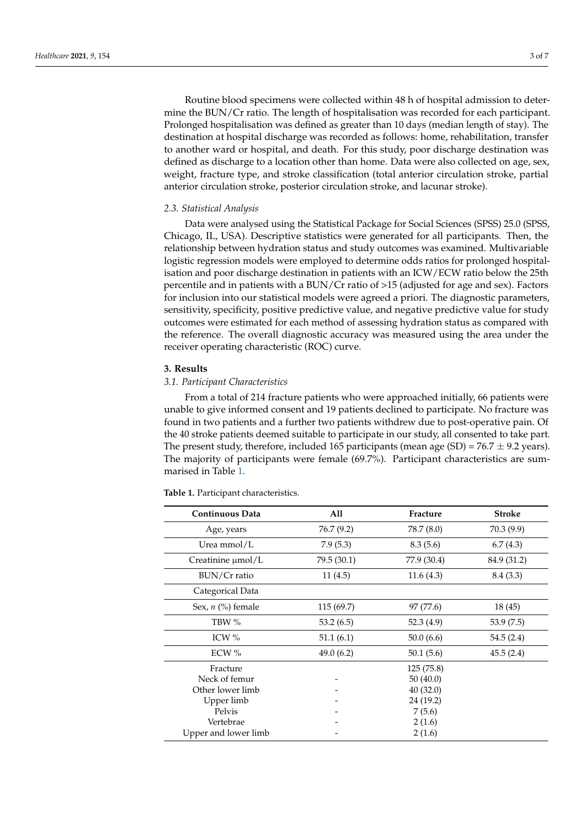Routine blood specimens were collected within 48 h of hospital admission to determine the BUN/Cr ratio. The length of hospitalisation was recorded for each participant. Prolonged hospitalisation was defined as greater than 10 days (median length of stay). The destination at hospital discharge was recorded as follows: home, rehabilitation, transfer to another ward or hospital, and death. For this study, poor discharge destination was defined as discharge to a location other than home. Data were also collected on age, sex, weight, fracture type, and stroke classification (total anterior circulation stroke, partial anterior circulation stroke, posterior circulation stroke, and lacunar stroke).

#### *2.3. Statistical Analysis*

Data were analysed using the Statistical Package for Social Sciences (SPSS) 25.0 (SPSS, Chicago, IL, USA). Descriptive statistics were generated for all participants. Then, the relationship between hydration status and study outcomes was examined. Multivariable logistic regression models were employed to determine odds ratios for prolonged hospitalisation and poor discharge destination in patients with an ICW/ECW ratio below the 25th percentile and in patients with a BUN/Cr ratio of >15 (adjusted for age and sex). Factors for inclusion into our statistical models were agreed a priori. The diagnostic parameters, sensitivity, specificity, positive predictive value, and negative predictive value for study outcomes were estimated for each method of assessing hydration status as compared with the reference. The overall diagnostic accuracy was measured using the area under the receiver operating characteristic (ROC) curve.

#### **3. Results**

### *3.1. Participant Characteristics*

From a total of 214 fracture patients who were approached initially, 66 patients were unable to give informed consent and 19 patients declined to participate. No fracture was found in two patients and a further two patients withdrew due to post-operative pain. Of the 40 stroke patients deemed suitable to participate in our study, all consented to take part. The present study, therefore, included 165 participants (mean age  $(SD) = 76.7 \pm 9.2$  years). The majority of participants were female (69.7%). Participant characteristics are summarised in Table [1.](#page-3-0)

| <b>Continuous Data</b> | All         | Fracture    | <b>Stroke</b> |
|------------------------|-------------|-------------|---------------|
| Age, years             | 76.7 (9.2)  | 78.7 (8.0)  | 70.3(9.9)     |
| Urea mmol/L            | 7.9(5.3)    | 8.3(5.6)    | 6.7(4.3)      |
| Creatinine µmol/L      | 79.5 (30.1) | 77.9 (30.4) | 84.9 (31.2)   |
| BUN/Cr ratio           | 11(4.5)     | 11.6(4.3)   | 8.4(3.3)      |
| Categorical Data       |             |             |               |
| Sex, $n$ (%) female    | 115(69.7)   | 97 (77.6)   | 18 (45)       |
| TBW %                  | 53.2(6.5)   | 52.3 (4.9)  | 53.9(7.5)     |
| ICW $%$                | 51.1(6.1)   | 50.0(6.6)   | 54.5 (2.4)    |
| ECW $%$                | 49.0(6.2)   | 50.1(5.6)   | 45.5(2.4)     |
| Fracture               |             | 125(75.8)   |               |
| Neck of femur          |             | 50(40.0)    |               |
| Other lower limb       |             | 40(32.0)    |               |
| Upper limb             |             | 24 (19.2)   |               |
| Pelvis                 |             | 7(5.6)      |               |
| Vertebrae              |             | 2(1.6)      |               |
| Upper and lower limb   |             | 2(1.6)      |               |

**Table 1.** Participant characteristics.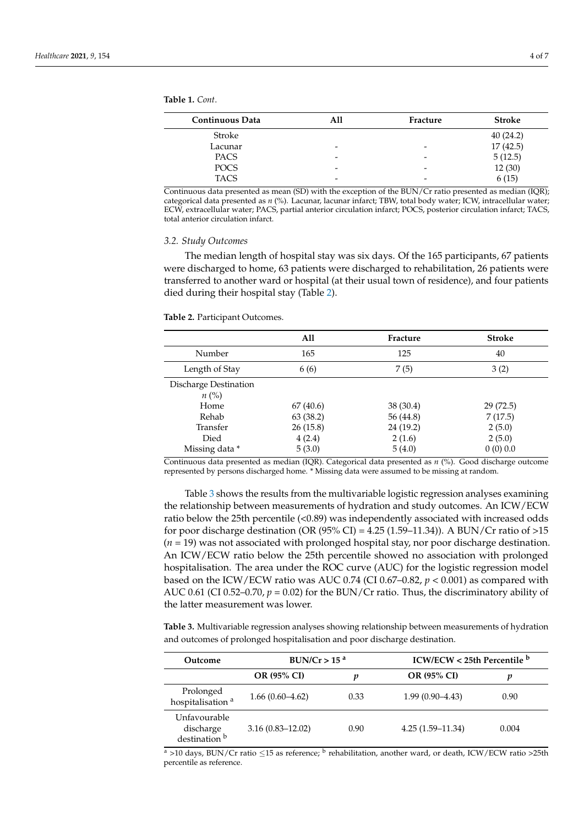<span id="page-3-0"></span>**Table 1.** *Cont*.

| <b>Continuous Data</b> | All                      | Fracture                 | <b>Stroke</b> |
|------------------------|--------------------------|--------------------------|---------------|
| Stroke                 |                          |                          | 40(24.2)      |
| Lacunar                | $\overline{\phantom{0}}$ | $\overline{\phantom{0}}$ | 17(42.5)      |
| <b>PACS</b>            | $\overline{\phantom{0}}$ | $\overline{\phantom{a}}$ | 5(12.5)       |
| <b>POCS</b>            | $\overline{\phantom{0}}$ | $\overline{\phantom{0}}$ | 12(30)        |
| <b>TACS</b>            | -                        | -                        | 6(15)         |
|                        |                          |                          |               |

Continuous data presented as mean (SD) with the exception of the BUN/Cr ratio presented as median (IQR); categorical data presented as *n* (%). Lacunar, lacunar infarct; TBW, total body water; ICW, intracellular water; ECW, extracellular water; PACS, partial anterior circulation infarct; POCS, posterior circulation infarct; TACS, total anterior circulation infarct.

#### *3.2. Study Outcomes*

The median length of hospital stay was six days. Of the 165 participants, 67 patients were discharged to home, 63 patients were discharged to rehabilitation, 26 patients were transferred to another ward or hospital (at their usual town of residence), and four patients died during their hospital stay (Table [2\)](#page-3-1).

<span id="page-3-1"></span>**Table 2.** Participant Outcomes.

|                                    | All       | Fracture  | <b>Stroke</b> |
|------------------------------------|-----------|-----------|---------------|
| Number                             | 165       | 125       | 40            |
| Length of Stay                     | 6 (6)     | 7(5)      | 3(2)          |
| Discharge Destination<br>$n\ (\%)$ |           |           |               |
| Home                               | 67 (40.6) | 38 (30.4) | 29(72.5)      |
| Rehab                              | 63 (38.2) | 56 (44.8) | 7(17.5)       |
| Transfer                           | 26(15.8)  | 24 (19.2) | 2(5.0)        |
| Died                               | 4(2.4)    | 2(1.6)    | 2(5.0)        |
| Missing data *                     | 5(3.0)    | 5(4.0)    | 0(0)0.0       |

Continuous data presented as median (IQR). Categorical data presented as *n* (%). Good discharge outcome represented by persons discharged home. \* Missing data were assumed to be missing at random.

Table [3](#page-3-2) shows the results from the multivariable logistic regression analyses examining the relationship between measurements of hydration and study outcomes. An ICW/ECW ratio below the 25th percentile (<0.89) was independently associated with increased odds for poor discharge destination (OR  $(95\%$  CI) = 4.25 (1.59–11.34)). A BUN/Cr ratio of >15 (*n* = 19) was not associated with prolonged hospital stay, nor poor discharge destination. An ICW/ECW ratio below the 25th percentile showed no association with prolonged hospitalisation. The area under the ROC curve (AUC) for the logistic regression model based on the ICW/ECW ratio was AUC 0.74 (CI 0.67–0.82,  $p < 0.001$ ) as compared with AUC 0.61 (CI 0.52–0.70, *p* = 0.02) for the BUN/Cr ratio. Thus, the discriminatory ability of the latter measurement was lower.

<span id="page-3-2"></span>**Table 3.** Multivariable regression analyses showing relationship between measurements of hydration and outcomes of prolonged hospitalisation and poor discharge destination.

| Outcome                                               | BUN/Cr > 15 <sup>a</sup> |      | ICW/ECW < 25th Percentile b |       |
|-------------------------------------------------------|--------------------------|------|-----------------------------|-------|
|                                                       | <b>OR (95% CI)</b>       |      | <b>OR (95% CI)</b>          | v     |
| Prolonged<br>hospitalisation <sup>a</sup>             | $1.66(0.60-4.62)$        | 0.33 | $1.99(0.90 - 4.43)$         | 0.90  |
| Unfavourable<br>discharge<br>destination <sup>b</sup> | $3.16(0.83 - 12.02)$     | 0.90 | $4.25(1.59-11.34)$          | 0.004 |

<sup>a</sup> >10 days, BUN/Cr ratio ≤15 as reference; <sup>b</sup> rehabilitation, another ward, or death, ICW/ECW ratio >25th percentile as reference.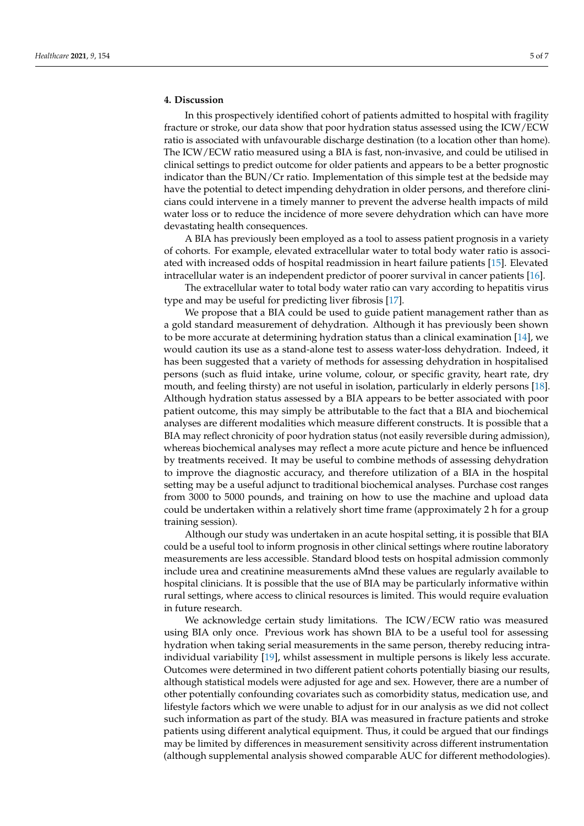In this prospectively identified cohort of patients admitted to hospital with fragility fracture or stroke, our data show that poor hydration status assessed using the ICW/ECW ratio is associated with unfavourable discharge destination (to a location other than home). The ICW/ECW ratio measured using a BIA is fast, non-invasive, and could be utilised in clinical settings to predict outcome for older patients and appears to be a better prognostic indicator than the BUN/Cr ratio. Implementation of this simple test at the bedside may have the potential to detect impending dehydration in older persons, and therefore clinicians could intervene in a timely manner to prevent the adverse health impacts of mild water loss or to reduce the incidence of more severe dehydration which can have more devastating health consequences.

A BIA has previously been employed as a tool to assess patient prognosis in a variety of cohorts. For example, elevated extracellular water to total body water ratio is associated with increased odds of hospital readmission in heart failure patients [\[15\]](#page-6-3). Elevated intracellular water is an independent predictor of poorer survival in cancer patients [\[16\]](#page-6-4).

The extracellular water to total body water ratio can vary according to hepatitis virus type and may be useful for predicting liver fibrosis [\[17\]](#page-6-5).

We propose that a BIA could be used to guide patient management rather than as a gold standard measurement of dehydration. Although it has previously been shown to be more accurate at determining hydration status than a clinical examination [\[14\]](#page-6-2), we would caution its use as a stand-alone test to assess water-loss dehydration. Indeed, it has been suggested that a variety of methods for assessing dehydration in hospitalised persons (such as fluid intake, urine volume, colour, or specific gravity, heart rate, dry mouth, and feeling thirsty) are not useful in isolation, particularly in elderly persons [\[18\]](#page-6-6). Although hydration status assessed by a BIA appears to be better associated with poor patient outcome, this may simply be attributable to the fact that a BIA and biochemical analyses are different modalities which measure different constructs. It is possible that a BIA may reflect chronicity of poor hydration status (not easily reversible during admission), whereas biochemical analyses may reflect a more acute picture and hence be influenced by treatments received. It may be useful to combine methods of assessing dehydration to improve the diagnostic accuracy, and therefore utilization of a BIA in the hospital setting may be a useful adjunct to traditional biochemical analyses. Purchase cost ranges from 3000 to 5000 pounds, and training on how to use the machine and upload data could be undertaken within a relatively short time frame (approximately 2 h for a group training session).

Although our study was undertaken in an acute hospital setting, it is possible that BIA could be a useful tool to inform prognosis in other clinical settings where routine laboratory measurements are less accessible. Standard blood tests on hospital admission commonly include urea and creatinine measurements aMnd these values are regularly available to hospital clinicians. It is possible that the use of BIA may be particularly informative within rural settings, where access to clinical resources is limited. This would require evaluation in future research.

We acknowledge certain study limitations. The ICW/ECW ratio was measured using BIA only once. Previous work has shown BIA to be a useful tool for assessing hydration when taking serial measurements in the same person, thereby reducing intraindividual variability [\[19\]](#page-6-7), whilst assessment in multiple persons is likely less accurate. Outcomes were determined in two different patient cohorts potentially biasing our results, although statistical models were adjusted for age and sex. However, there are a number of other potentially confounding covariates such as comorbidity status, medication use, and lifestyle factors which we were unable to adjust for in our analysis as we did not collect such information as part of the study. BIA was measured in fracture patients and stroke patients using different analytical equipment. Thus, it could be argued that our findings may be limited by differences in measurement sensitivity across different instrumentation (although supplemental analysis showed comparable AUC for different methodologies).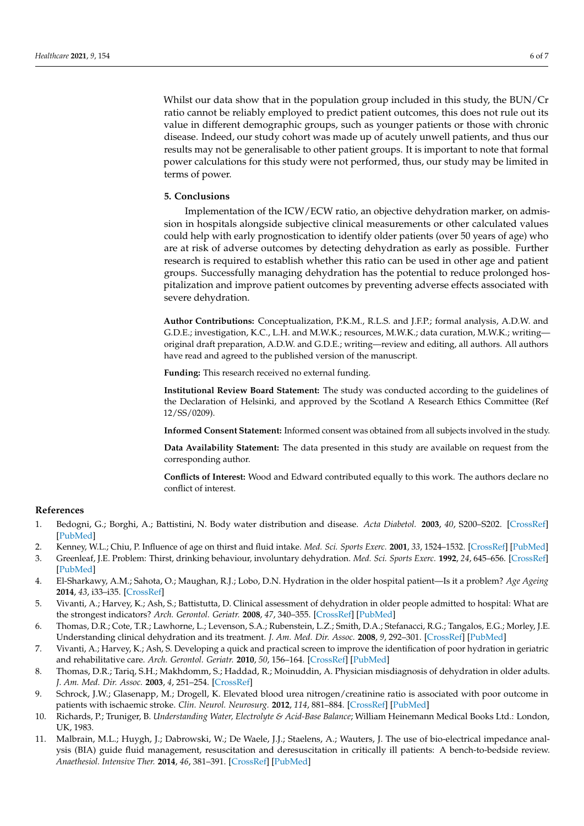Whilst our data show that in the population group included in this study, the BUN/Cr ratio cannot be reliably employed to predict patient outcomes, this does not rule out its value in different demographic groups, such as younger patients or those with chronic disease. Indeed, our study cohort was made up of acutely unwell patients, and thus our results may not be generalisable to other patient groups. It is important to note that formal power calculations for this study were not performed, thus, our study may be limited in terms of power.

#### **5. Conclusions**

Implementation of the ICW/ECW ratio, an objective dehydration marker, on admission in hospitals alongside subjective clinical measurements or other calculated values could help with early prognostication to identify older patients (over 50 years of age) who are at risk of adverse outcomes by detecting dehydration as early as possible. Further research is required to establish whether this ratio can be used in other age and patient groups. Successfully managing dehydration has the potential to reduce prolonged hospitalization and improve patient outcomes by preventing adverse effects associated with severe dehydration.

**Author Contributions:** Conceptualization, P.K.M., R.L.S. and J.F.P.; formal analysis, A.D.W. and G.D.E.; investigation, K.C., L.H. and M.W.K.; resources, M.W.K.; data curation, M.W.K.; writing original draft preparation, A.D.W. and G.D.E.; writing—review and editing, all authors. All authors have read and agreed to the published version of the manuscript.

**Funding:** This research received no external funding.

**Institutional Review Board Statement:** The study was conducted according to the guidelines of the Declaration of Helsinki, and approved by the Scotland A Research Ethics Committee (Ref 12/SS/0209).

**Informed Consent Statement:** Informed consent was obtained from all subjects involved in the study.

**Data Availability Statement:** The data presented in this study are available on request from the corresponding author.

**Conflicts of Interest:** Wood and Edward contributed equally to this work. The authors declare no conflict of interest.

#### **References**

- <span id="page-5-0"></span>1. Bedogni, G.; Borghi, A.; Battistini, N. Body water distribution and disease. *Acta Diabetol.* **2003**, *40*, S200–S202. [\[CrossRef\]](http://doi.org/10.1007/s00592-003-0065-3) [\[PubMed\]](http://www.ncbi.nlm.nih.gov/pubmed/14618472)
- <span id="page-5-1"></span>2. Kenney, W.L.; Chiu, P. Influence of age on thirst and fluid intake. *Med. Sci. Sports Exerc.* **2001**, *33*, 1524–1532. [\[CrossRef\]](http://doi.org/10.1097/00005768-200109000-00016) [\[PubMed\]](http://www.ncbi.nlm.nih.gov/pubmed/11528342)
- <span id="page-5-2"></span>3. Greenleaf, J.E. Problem: Thirst, drinking behaviour, involuntary dehydration. *Med. Sci. Sports Exerc.* **1992**, *24*, 645–656. [\[CrossRef\]](http://doi.org/10.1249/00005768-199206000-00007) [\[PubMed\]](http://www.ncbi.nlm.nih.gov/pubmed/1602937)
- <span id="page-5-3"></span>4. El-Sharkawy, A.M.; Sahota, O.; Maughan, R.J.; Lobo, D.N. Hydration in the older hospital patient—Is it a problem? *Age Ageing* **2014**, *43*, i33–i35. [\[CrossRef\]](http://doi.org/10.1093/ageing/afu046.1)
- <span id="page-5-4"></span>5. Vivanti, A.; Harvey, K.; Ash, S.; Battistutta, D. Clinical assessment of dehydration in older people admitted to hospital: What are the strongest indicators? *Arch. Gerontol. Geriatr.* **2008**, *47*, 340–355. [\[CrossRef\]](http://doi.org/10.1016/j.archger.2007.08.016) [\[PubMed\]](http://www.ncbi.nlm.nih.gov/pubmed/17996966)
- <span id="page-5-5"></span>6. Thomas, D.R.; Cote, T.R.; Lawhorne, L.; Levenson, S.A.; Rubenstein, L.Z.; Smith, D.A.; Stefanacci, R.G.; Tangalos, E.G.; Morley, J.E. Understanding clinical dehydration and its treatment. *J. Am. Med. Dir. Assoc.* **2008**, *9*, 292–301. [\[CrossRef\]](http://doi.org/10.1016/j.jamda.2008.03.006) [\[PubMed\]](http://www.ncbi.nlm.nih.gov/pubmed/18519109)
- <span id="page-5-6"></span>7. Vivanti, A.; Harvey, K.; Ash, S. Developing a quick and practical screen to improve the identification of poor hydration in geriatric and rehabilitative care. *Arch. Gerontol. Geriatr.* **2010**, *50*, 156–164. [\[CrossRef\]](http://doi.org/10.1016/j.archger.2009.03.003) [\[PubMed\]](http://www.ncbi.nlm.nih.gov/pubmed/19395070)
- <span id="page-5-7"></span>8. Thomas, D.R.; Tariq, S.H.; Makhdomm, S.; Haddad, R.; Moinuddin, A. Physician misdiagnosis of dehydration in older adults. *J. Am. Med. Dir. Assoc.* **2003**, *4*, 251–254. [\[CrossRef\]](http://doi.org/10.1016/S1525-8610(04)70368-0)
- <span id="page-5-8"></span>9. Schrock, J.W.; Glasenapp, M.; Drogell, K. Elevated blood urea nitrogen/creatinine ratio is associated with poor outcome in patients with ischaemic stroke. *Clin. Neurol. Neurosurg.* **2012**, *114*, 881–884. [\[CrossRef\]](http://doi.org/10.1016/j.clineuro.2012.01.031) [\[PubMed\]](http://www.ncbi.nlm.nih.gov/pubmed/22333035)
- <span id="page-5-9"></span>10. Richards, P.; Truniger, B. *Understanding Water, Electrolyte & Acid-Base Balance*; William Heinemann Medical Books Ltd.: London, UK, 1983.
- <span id="page-5-10"></span>11. Malbrain, M.L.; Huygh, J.; Dabrowski, W.; De Waele, J.J.; Staelens, A.; Wauters, J. The use of bio-electrical impedance analysis (BIA) guide fluid management, resuscitation and deresuscitation in critically ill patients: A bench-to-bedside review. *Anaethesiol. Intensive Ther.* **2014**, *46*, 381–391. [\[CrossRef\]](http://doi.org/10.5603/AIT.2014.0061) [\[PubMed\]](http://www.ncbi.nlm.nih.gov/pubmed/25432557)